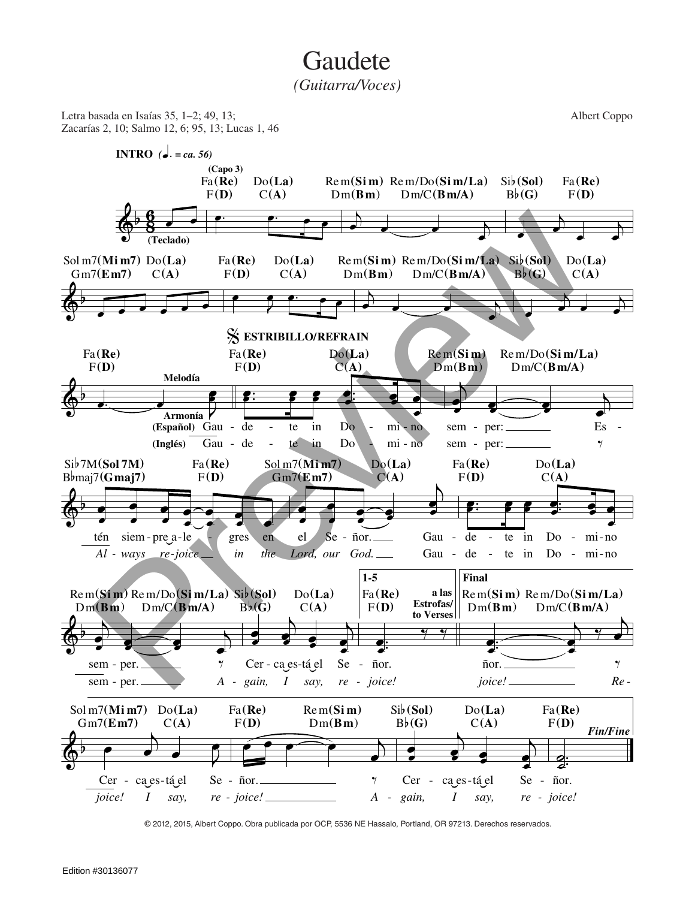## **Gaudete**

*(Guitarra/Voces)*



© 2012, 2015, Albert Coppo. Obra publicada por OCP, 5536 NE Hassalo, Portland, OR 97213. Derechos reservados.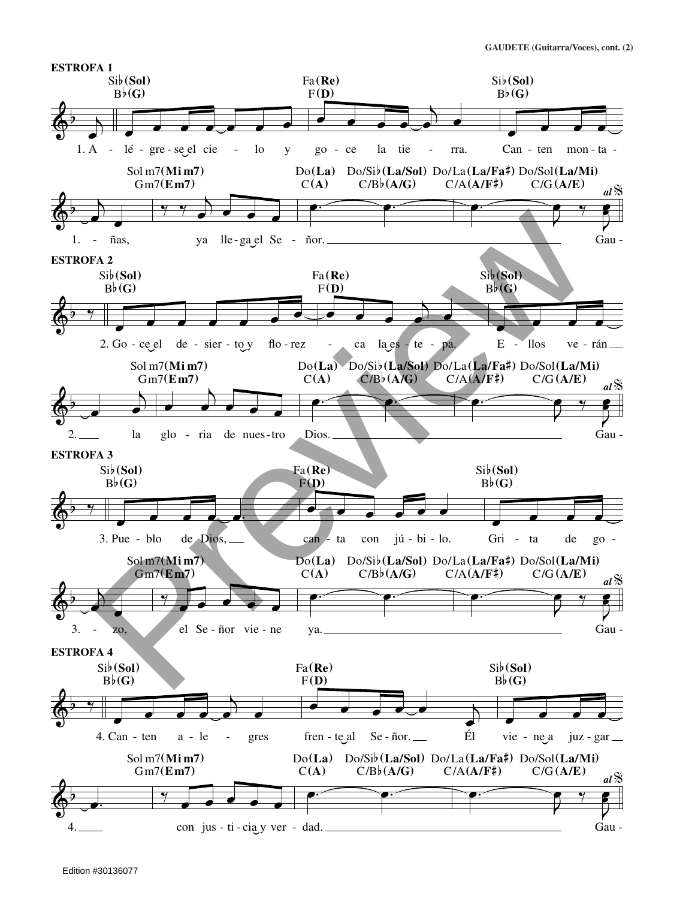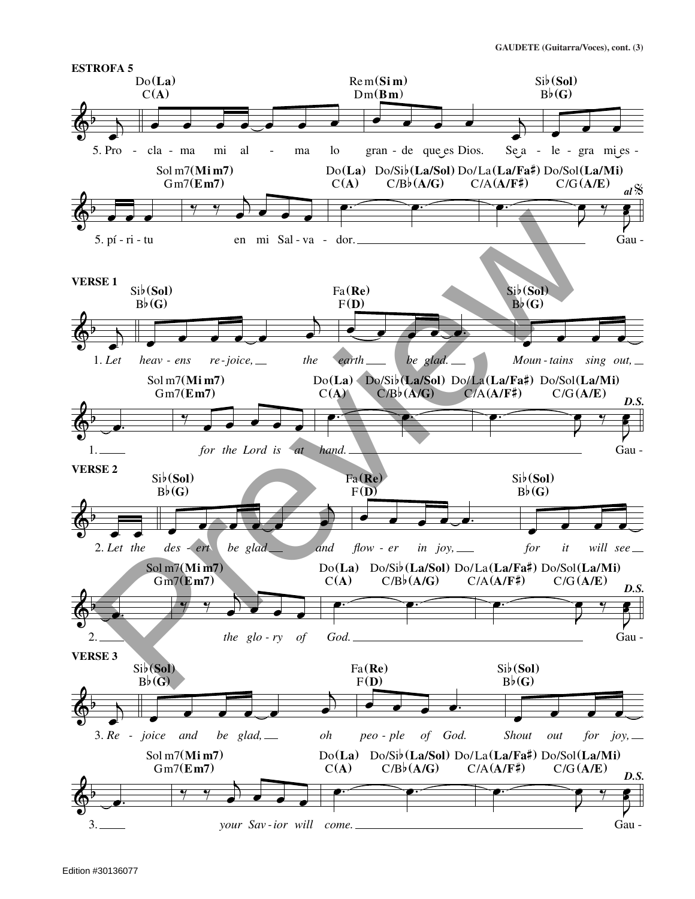